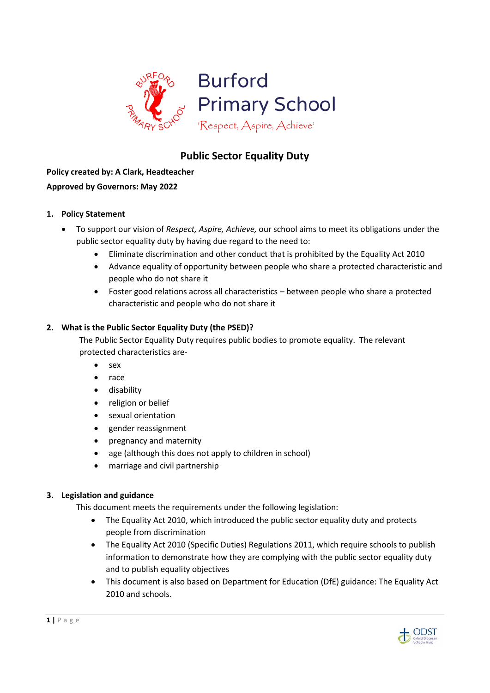

# **Public Sector Equality Duty**

## **Policy created by: A Clark, Headteacher Approved by Governors: May 2022**

#### **1. Policy Statement**

- To support our vision of *Respect, Aspire, Achieve,* our school aims to meet its obligations under the public sector equality duty by having due regard to the need to:
	- Eliminate discrimination and other conduct that is prohibited by the Equality Act 2010
	- Advance equality of opportunity between people who share a protected characteristic and people who do not share it
	- Foster good relations across all characteristics between people who share a protected characteristic and people who do not share it

### **2. What is the Public Sector Equality Duty (the PSED)?**

The Public Sector Equality Duty requires public bodies to promote equality. The relevant protected characteristics are-

- sex
- race
- disability
- religion or belief
- sexual orientation
- gender reassignment
- pregnancy and maternity
- age (although this does not apply to children in school)
- marriage and civil partnership

#### **3. Legislation and guidance**

This document meets the requirements under the following legislation:

- The Equality Act 2010, which introduced the public sector equality duty and protects people from discrimination
- The Equality Act 2010 (Specific Duties) Regulations 2011, which require schools to publish information to demonstrate how they are complying with the public sector equality duty and to publish equality objectives
- This document is also based on Department for Education (DfE) guidance: The Equality Act 2010 and schools.

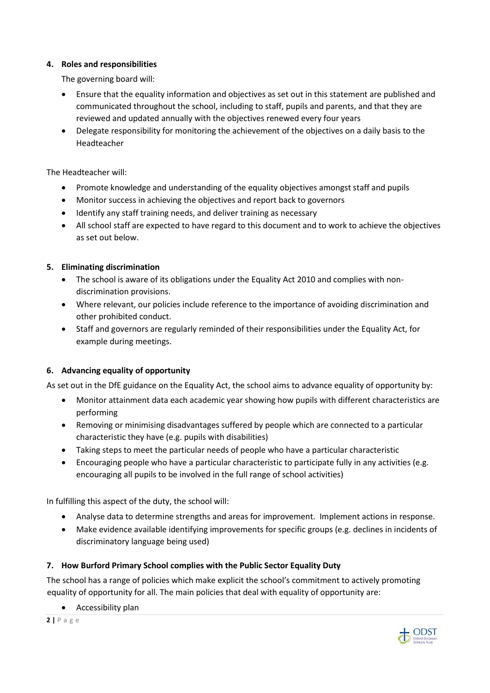### **4. Roles and responsibilities**

The governing board will:

- Ensure that the equality information and objectives as set out in this statement are published and communicated throughout the school, including to staff, pupils and parents, and that they are reviewed and updated annually with the objectives renewed every four years
- Delegate responsibility for monitoring the achievement of the objectives on a daily basis to the Headteacher

The Headteacher will:

- Promote knowledge and understanding of the equality objectives amongst staff and pupils
- Monitor success in achieving the objectives and report back to governors
- Identify any staff training needs, and deliver training as necessary
- All school staff are expected to have regard to this document and to work to achieve the objectives as set out below.

### **5. Eliminating discrimination**

- The school is aware of its obligations under the Equality Act 2010 and complies with nondiscrimination provisions.
- Where relevant, our policies include reference to the importance of avoiding discrimination and other prohibited conduct.
- Staff and governors are regularly reminded of their responsibilities under the Equality Act, for example during meetings.

### **6. Advancing equality of opportunity**

As set out in the DfE guidance on the Equality Act, the school aims to advance equality of opportunity by:

- Monitor attainment data each academic year showing how pupils with different characteristics are performing
- Removing or minimising disadvantages suffered by people which are connected to a particular characteristic they have (e.g. pupils with disabilities)
- Taking steps to meet the particular needs of people who have a particular characteristic
- Encouraging people who have a particular characteristic to participate fully in any activities (e.g. encouraging all pupils to be involved in the full range of school activities)

In fulfilling this aspect of the duty, the school will:

- Analyse data to determine strengths and areas for improvement. Implement actions in response.
- Make evidence available identifying improvements for specific groups (e.g. declines in incidents of discriminatory language being used)

### **7. How Burford Primary School complies with the Public Sector Equality Duty**

The school has a range of policies which make explicit the school's commitment to actively promoting equality of opportunity for all. The main policies that deal with equality of opportunity are:

• Accessibility plan

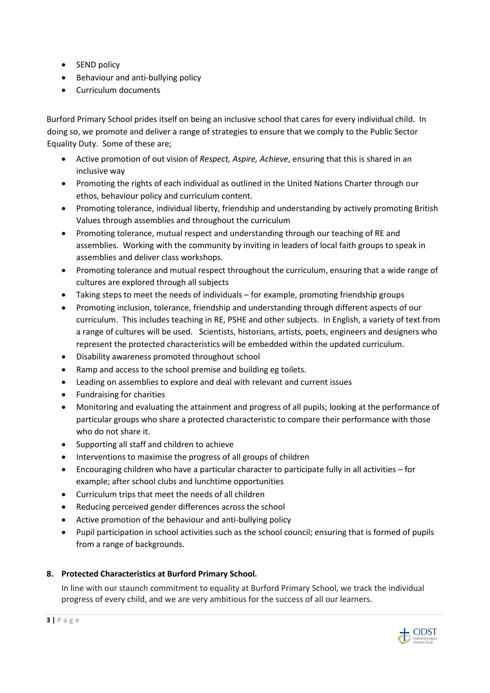- SEND policy
- Behaviour and anti-bullying policy
- Curriculum documents

Burford Primary School prides itself on being an inclusive school that cares for every individual child. In doing so, we promote and deliver a range of strategies to ensure that we comply to the Public Sector Equality Duty. Some of these are;

- Active promotion of out vision of *Respect, Aspire, Achieve*, ensuring that this is shared in an inclusive way
- Promoting the rights of each individual as outlined in the United Nations Charter through our ethos, behaviour policy and curriculum content.
- Promoting tolerance, individual liberty, friendship and understanding by actively promoting British Values through assemblies and throughout the curriculum
- Promoting tolerance, mutual respect and understanding through our teaching of RE and assemblies. Working with the community by inviting in leaders of local faith groups to speak in assemblies and deliver class workshops.
- Promoting tolerance and mutual respect throughout the curriculum, ensuring that a wide range of cultures are explored through all subjects
- Taking steps to meet the needs of individuals for example, promoting friendship groups
- Promoting inclusion, tolerance, friendship and understanding through different aspects of our curriculum. This includes teaching in RE, PSHE and other subjects. In English, a variety of text from a range of cultures will be used. Scientists, historians, artists, poets, engineers and designers who represent the protected characteristics will be embedded within the updated curriculum.
- Disability awareness promoted throughout school
- Ramp and access to the school premise and building eg toilets.
- Leading on assemblies to explore and deal with relevant and current issues
- Fundraising for charities
- Monitoring and evaluating the attainment and progress of all pupils; looking at the performance of particular groups who share a protected characteristic to compare their performance with those who do not share it.
- Supporting all staff and children to achieve
- Interventions to maximise the progress of all groups of children
- Encouraging children who have a particular character to participate fully in all activities for example; after school clubs and lunchtime opportunities
- Curriculum trips that meet the needs of all children
- Reducing perceived gender differences across the school
- Active promotion of the behaviour and anti-bullying policy
- Pupil participation in school activities such as the school council; ensuring that is formed of pupils from a range of backgrounds.

### **8. Protected Characteristics at Burford Primary School.**

In line with our staunch commitment to equality at Burford Primary School, we track the individual progress of every child, and we are very ambitious for the success of all our learners.